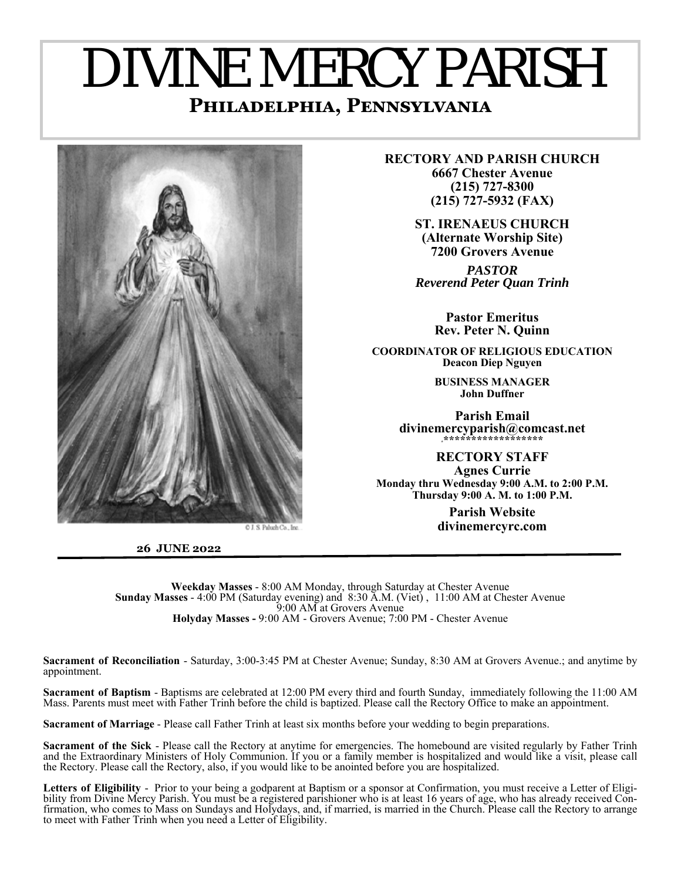# DIVINE MERCY PARISH **PHILADELPHIA, PENNSYLVANIA**



**26 JUNE 2022** 

**RECTORY AND PARISH CHURCH 6667 Chester Avenue (215) 727-8300 (215) 727-5932 (FAX)** 

> **ST. IRENAEUS CHURCH (Alternate Worship Site) 7200 Grovers Avenue**

*PASTOR Reverend Peter Quan Trinh* 

> **Pastor Emeritus Rev. Peter N. Quinn**

**COORDINATOR OF RELIGIOUS EDUCATION Deacon Diep Nguyen** 

> **BUSINESS MANAGER John Duffner**

**Parish Email divinemercyparish@comcast.net \*\*\*\*\*\*\*\*\*\*\*\*\*\*\*\*\*\*\***

**RECTORY STAFF Agnes Currie Monday thru Wednesday 9:00 A.M. to 2:00 P.M. Thursday 9:00 A. M. to 1:00 P.M.** 

> **Parish Website divinemercyrc.com**

**Weekday Masses** - 8:00 AM Monday, through Saturday at Chester Avenue **Sunday Masses** - 4:00 PM (Saturday evening) and 8:30 A.M. (Viet) , 11:00 AM at Chester Avenue 9:00 AM at Grovers Avenue **Holyday Masses -** 9:00 AM - Grovers Avenue; 7:00 PM - Chester Avenue

**Sacrament of Reconciliation** - Saturday, 3:00-3:45 PM at Chester Avenue; Sunday, 8:30 AM at Grovers Avenue.; and anytime by appointment.

**Sacrament of Baptism** - Baptisms are celebrated at 12:00 PM every third and fourth Sunday, immediately following the 11:00 AM Mass. Parents must meet with Father Trinh before the child is baptized. Please call the Rectory Office to make an appointment.

**Sacrament of Marriage** - Please call Father Trinh at least six months before your wedding to begin preparations.

**Sacrament of the Sick** - Please call the Rectory at anytime for emergencies. The homebound are visited regularly by Father Trinh and the Extraordinary Ministers of Holy Communion. If you or a family member is hospitalized and would like a visit, please call the Rectory. Please call the Rectory, also, if you would like to be anointed before you are hospitalized.

**Letters of Eligibility** - Prior to your being a godparent at Baptism or a sponsor at Confirmation, you must receive a Letter of Eligibility from Divine Mercy Parish. You must be a registered parishioner who is at least 16 years of age, who has already received Confirmation, who comes to Mass on Sundays and Holydays, and, if married, is married in the Church. Please call the Rectory to arrange to meet with Father Trinh when you need a Letter of Eligibility.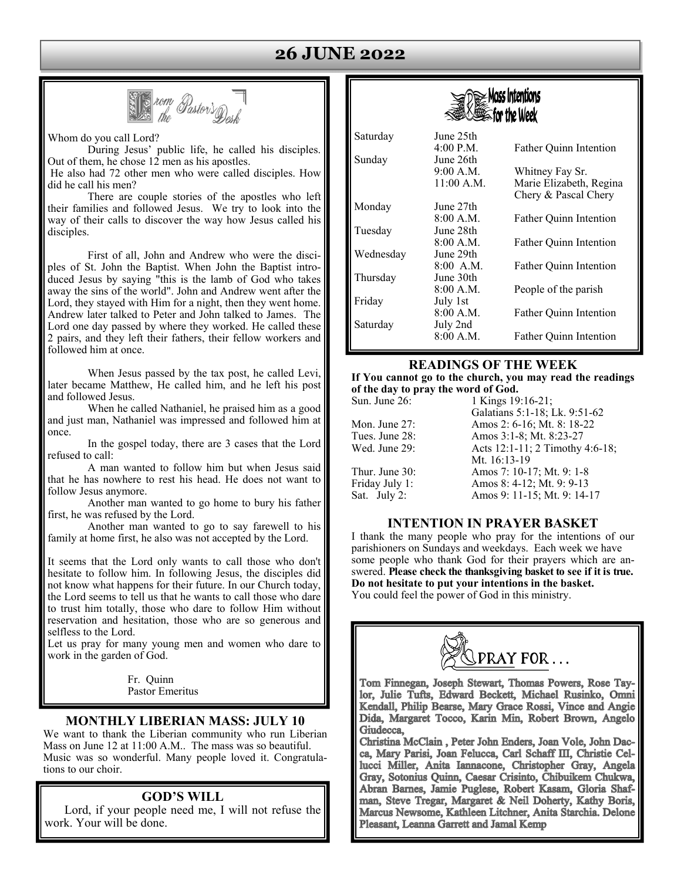### **26 JUNE 2022**



Whom do you call Lord?

 During Jesus' public life, he called his disciples. Out of them, he chose 12 men as his apostles.

 He also had 72 other men who were called disciples. How did he call his men?

 There are couple stories of the apostles who left their families and followed Jesus. We try to look into the way of their calls to discover the way how Jesus called his disciples.

 First of all, John and Andrew who were the disciples of St. John the Baptist. When John the Baptist introduced Jesus by saying "this is the lamb of God who takes away the sins of the world". John and Andrew went after the Lord, they stayed with Him for a night, then they went home. Andrew later talked to Peter and John talked to James. The Lord one day passed by where they worked. He called these 2 pairs, and they left their fathers, their fellow workers and followed him at once.

 When Jesus passed by the tax post, he called Levi, later became Matthew, He called him, and he left his post and followed Jesus.

 When he called Nathaniel, he praised him as a good and just man, Nathaniel was impressed and followed him at once.

 In the gospel today, there are 3 cases that the Lord refused to call:

 A man wanted to follow him but when Jesus said that he has nowhere to rest his head. He does not want to follow Jesus anymore.

 Another man wanted to go home to bury his father first, he was refused by the Lord.

 Another man wanted to go to say farewell to his family at home first, he also was not accepted by the Lord.

It seems that the Lord only wants to call those who don't hesitate to follow him. In following Jesus, the disciples did not know what happens for their future. In our Church today, the Lord seems to tell us that he wants to call those who dare to trust him totally, those who dare to follow Him without reservation and hesitation, those who are so generous and selfless to the Lord.

Let us pray for many young men and women who dare to work in the garden of God.

> Fr. Quinn Pastor Emeritus

#### **MONTHLY LIBERIAN MASS: JULY 10**

We want to thank the Liberian community who run Liberian Mass on June 12 at 11:00 A.M.. The mass was so beautiful. Music was so wonderful. Many people loved it. Congratulations to our choir.

#### **GOD'S WILL**

 Lord, if your people need me, I will not refuse the work. Your will be done.



| Saturday  | June 25th   |                                                 |
|-----------|-------------|-------------------------------------------------|
|           | 4:00 P.M.   | <b>Father Ouinn Intention</b>                   |
| Sunday    | June 26th   |                                                 |
|           | 9:00 A.M.   | Whitney Fay Sr.                                 |
|           | 11:00 A.M.  | Marie Elizabeth, Regina<br>Chery & Pascal Chery |
| Monday    | June 27th   |                                                 |
|           | 8:00 A.M.   | <b>Father Ouinn Intention</b>                   |
| Tuesday   | June 28th   |                                                 |
|           | 8:00 A.M.   | Father Quinn Intention                          |
| Wednesday | June 29th   |                                                 |
|           | $8:00$ A.M. | Father Quinn Intention                          |
| Thursday  | June 30th   |                                                 |
|           | 8:00 A.M.   | People of the parish                            |
| Friday    | July 1st    |                                                 |
|           | 8:00 A.M.   | Father Quinn Intention                          |
| Saturday  | July 2nd    |                                                 |
|           | 8:00 A.M.   | Father Quinn Intention                          |

#### **READINGS OF THE WEEK**

**If You cannot go to the church, you may read the readings of the day to pray the word of God.** 

| Sun. June 26:  | 1 Kings 19:16-21;               |
|----------------|---------------------------------|
|                | Galatians 5:1-18; Lk. 9:51-62   |
| Mon. June 27:  | Amos 2: 6-16; Mt. 8: 18-22      |
| Tues. June 28: | Amos 3:1-8; Mt. 8:23-27         |
| Wed. June 29:  | Acts 12:1-11; 2 Timothy 4:6-18; |
|                | Mt. 16:13-19                    |
| Thur. June 30: | Amos 7: 10-17; Mt. 9: 1-8       |
| Friday July 1: | Amos 8: 4-12; Mt. 9: 9-13       |
| Sat. July 2:   | Amos 9: 11-15; Mt. 9: 14-17     |
|                |                                 |

#### **INTENTION IN PRAYER BASKET**

I thank the many people who pray for the intentions of our parishioners on Sundays and weekdays. Each week we have some people who thank God for their prayers which are answered. **Please check the thanksgiving basket to see if it is true. Do not hesitate to put your intentions in the basket.**  You could feel the power of God in this ministry.



lor, Julie Tufts, Edward Beckett, Michael Rusinko, Omni Kendall, Philip Bearse, Mary Grace Rossi, Vince and Angie Dida, Margaret Tocco, Karin Min, Robert Brown, Angelo Giudecca.

Christina McClain, Peter John Enders, Joan Vole, John Dacca. Mary Parisi. Joan Felucca. Carl Schaff III. Christie Cellucci Miller, Anita Iannacone, Christopher Gray, Angela Gray, Sotonius Quinn, Caesar Crisinto, Chibuikem Chukwa, Abran Barnes, Jamie Puglese, Robert Kasam, Gloria Shafman, Steve Tregar, Margaret & Neil Doherty, Kathy Boris, Marcus Newsome, Kathleen Litchner, Anita Starchia. Delone Pleasant, Leanna Garrett and Jamal Kemp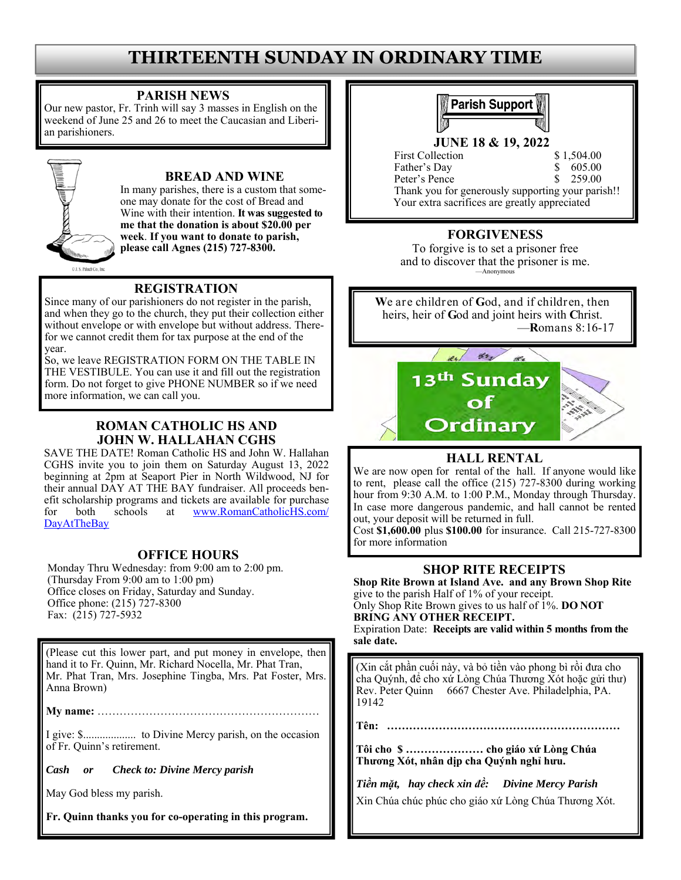## **THIRTEENTH SUNDAY IN ORDINARY TIME**

#### **PARISH NEWS**

Our new pastor, Fr. Trinh will say 3 masses in English on the weekend of June 25 and 26 to meet the Caucasian and Liberian parishioners.



#### **BREAD AND WINE**

In many parishes, there is a custom that someone may donate for the cost of Bread and Wine with their intention. **It was suggested to me that the donation is about \$20.00 per week**. **If you want to donate to parish, please call Agnes (215) 727-8300.**

#### **REGISTRATION**

Since many of our parishioners do not register in the parish, and when they go to the church, they put their collection either without envelope or with envelope but without address. Therefor we cannot credit them for tax purpose at the end of the year.

So, we leave REGISTRATION FORM ON THE TABLE IN THE VESTIBULE. You can use it and fill out the registration form. Do not forget to give PHONE NUMBER so if we need more information, we can call you.

#### **ROMAN CATHOLIC HS AND JOHN W. HALLAHAN CGHS**

SAVE THE DATE! Roman Catholic HS and John W. Hallahan CGHS invite you to join them on Saturday August 13, 2022 beginning at 2pm at Seaport Pier in North Wildwood, NJ for their annual DAY AT THE BAY fundraiser. All proceeds benefit scholarship programs and tickets are available for purchase for both schools at www.RomanCatholicHS.com/ DayAtTheBay

#### **OFFICE HOURS**

Monday Thru Wednesday: from 9:00 am to 2:00 pm. (Thursday From 9:00 am to 1:00 pm) Office closes on Friday, Saturday and Sunday. Office phone: (215) 727-8300 Fax: (215) 727-5932

(Please cut this lower part, and put money in envelope, then hand it to Fr. Quinn, Mr. Richard Nocella, Mr. Phat Tran, Mr. Phat Tran, Mrs. Josephine Tingba, Mrs. Pat Foster, Mrs. Anna Brown)

**My name:** ……………………………………………………

I give: \$................... to Divine Mercy parish, on the occasion of Fr. Quinn's retirement.

*Cash or Check to: Divine Mercy parish* 

May God bless my parish.

**Fr. Quinn thanks you for co-operating in this program.**



**JUNE 18 & 19, 2022** 

First Collection \$1,504.00 Father's Day \$ 605.00 Peter's Pence \$ 259.00 Thank you for generously supporting your parish!! Your extra sacrifices are greatly appreciated

#### **FORGIVENESS**

To forgive is to set a prisoner free and to discover that the prisoner is me. —Anonymous

**W**e are children of **G**od, and if children, then heirs, heir of **G**od and joint heirs with **C**hrist. —**R**omans 8:16-17



#### **HALL RENTAL**

We are now open for rental of the hall. If anyone would like to rent, please call the office (215) 727-8300 during working hour from 9:30 A.M. to 1:00 P.M., Monday through Thursday. In case more dangerous pandemic, and hall cannot be rented out, your deposit will be returned in full.

Cost **\$1,600.00** plus **\$100.00** for insurance. Call 215-727-8300 for more information

#### **SHOP RITE RECEIPTS**

**Shop Rite Brown at Island Ave. and any Brown Shop Rite**  give to the parish Half of 1% of your receipt. Only Shop Rite Brown gives to us half of 1%. **DO NOT** 

**BRING ANY OTHER RECEIPT.**  Expiration Date: **Receipts are valid within 5 months from the sale date.** 

(Xin cắt phần cuối này, và bỏ tiền vào phong bì rồi đưa cho cha Quýnh, để cho xứ Lòng Chúa Thương Xót hoặc gửi thư) Rev. Peter Quinn 6667 Chester Ave. Philadelphia, PA. 19142

**Tên: ………………………………………………………** 

**Tôi cho \$ ………………… cho giáo xứ Lòng Chúa Thương Xót, nhân dịp cha Quýnh nghỉ hưu.** 

*Tiền mặt, hay check xin đề: Divine Mercy Parish* 

Xin Chúa chúc phúc cho giáo xứ Lòng Chúa Thương Xót.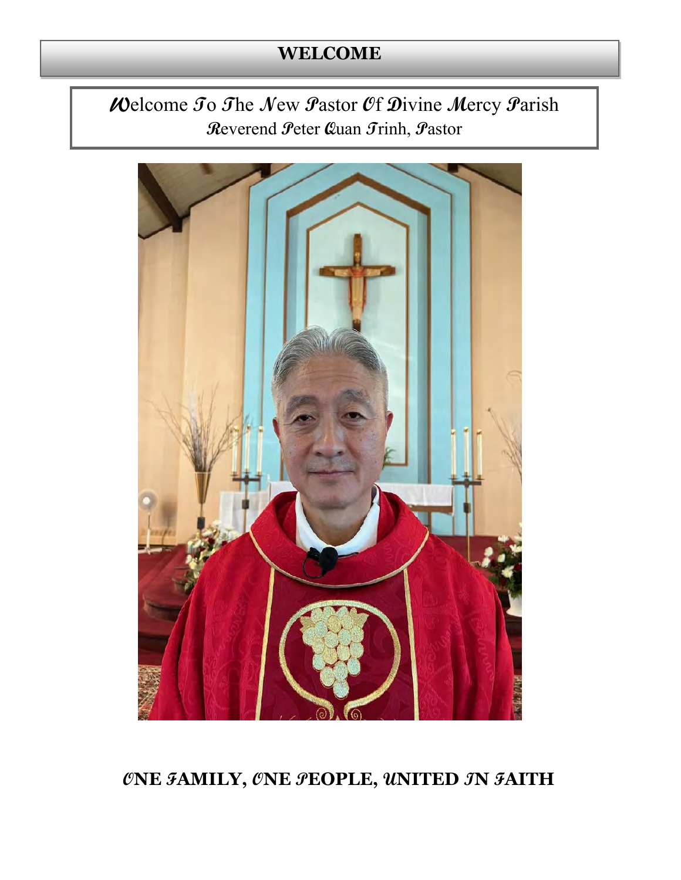# **WELCOME**

## Welcome To The New Pastor Of Divine Mercy Parish Reverend Peter Quan Trinh, Pastor



ØNE FAMILY, ØNE PEOPLE, UNITED JN FAITH